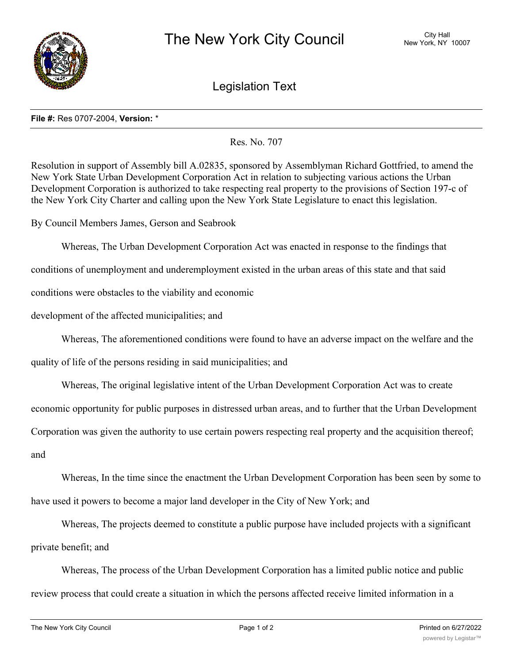

Legislation Text

## **File #:** Res 0707-2004, **Version:** \*

Res. No. 707

Resolution in support of Assembly bill A.02835, sponsored by Assemblyman Richard Gottfried, to amend the New York State Urban Development Corporation Act in relation to subjecting various actions the Urban Development Corporation is authorized to take respecting real property to the provisions of Section 197-c of the New York City Charter and calling upon the New York State Legislature to enact this legislation.

By Council Members James, Gerson and Seabrook

Whereas, The Urban Development Corporation Act was enacted in response to the findings that

conditions of unemployment and underemployment existed in the urban areas of this state and that said

conditions were obstacles to the viability and economic

development of the affected municipalities; and

Whereas, The aforementioned conditions were found to have an adverse impact on the welfare and the

quality of life of the persons residing in said municipalities; and

Whereas, The original legislative intent of the Urban Development Corporation Act was to create

economic opportunity for public purposes in distressed urban areas, and to further that the Urban Development

Corporation was given the authority to use certain powers respecting real property and the acquisition thereof;

and

Whereas, In the time since the enactment the Urban Development Corporation has been seen by some to have used it powers to become a major land developer in the City of New York; and

Whereas, The projects deemed to constitute a public purpose have included projects with a significant private benefit; and

Whereas, The process of the Urban Development Corporation has a limited public notice and public review process that could create a situation in which the persons affected receive limited information in a